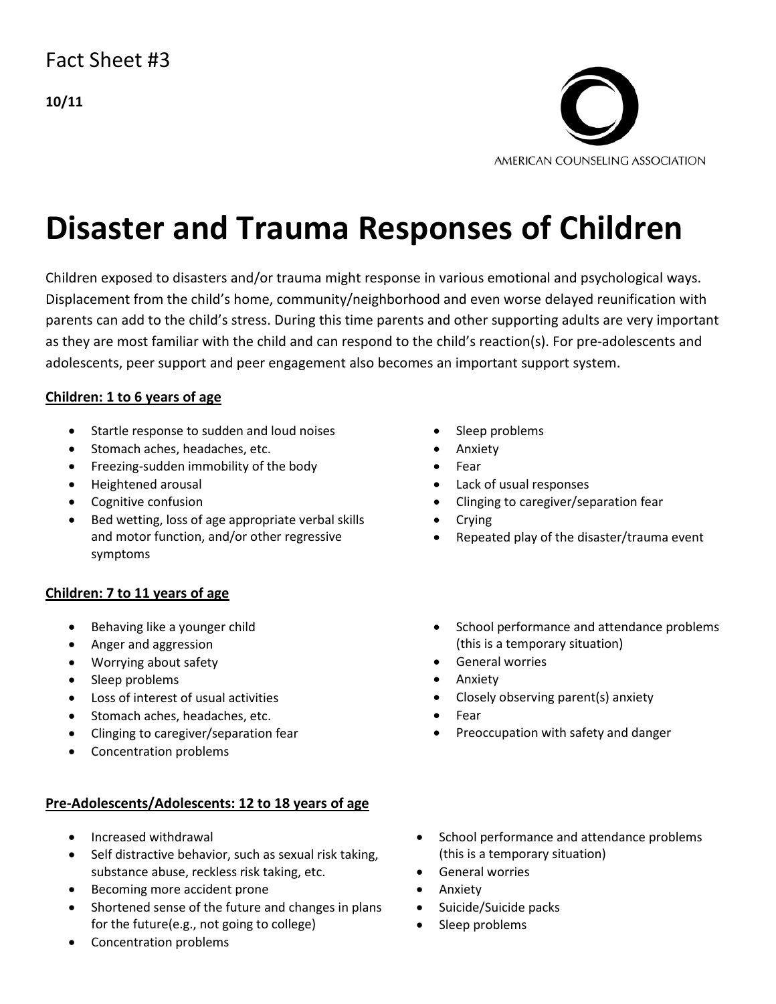# Fact Sheet #3

**10/11** 



# **Disaster and Trauma Responses of Children**

Children exposed to disasters and/or trauma might response in various emotional and psychological ways. Displacement from the child's home, community/neighborhood and even worse delayed reunification with parents can add to the child's stress. During this time parents and other supporting adults are very important as they are most familiar with the child and can respond to the child's reaction(s). For pre-adolescents and adolescents, peer support and peer engagement also becomes an important support system.

### **Children: 1 to 6 years of age**

- Startle response to sudden and loud noises
- Stomach aches, headaches, etc.
- Freezing-sudden immobility of the body
- Heightened arousal
- Cognitive confusion
- Bed wetting, loss of age appropriate verbal skills and motor function, and/or other regressive symptoms

### **Children: 7 to 11 years of age**

- Behaving like a younger child
- Anger and aggression
- Worrying about safety
- Sleep problems
- Loss of interest of usual activities
- Stomach aches, headaches, etc.
- Clinging to caregiver/separation fear
- Concentration problems

### **Pre-Adolescents/Adolescents: 12 to 18 years of age**

- Increased withdrawal
- Self distractive behavior, such as sexual risk taking, substance abuse, reckless risk taking, etc.
- Becoming more accident prone
- Shortened sense of the future and changes in plans for the future(e.g., not going to college)
- Concentration problems
- Sleep problems
- Anxiety
- Fear
- Lack of usual responses
- Clinging to caregiver/separation fear
- Crying
- Repeated play of the disaster/trauma event
- School performance and attendance problems (this is a temporary situation)
- General worries
- Anxiety
- Closely observing parent(s) anxiety
- Fear
- Preoccupation with safety and danger
- School performance and attendance problems (this is a temporary situation)
- General worries
- Anxiety
- Suicide/Suicide packs
- Sleep problems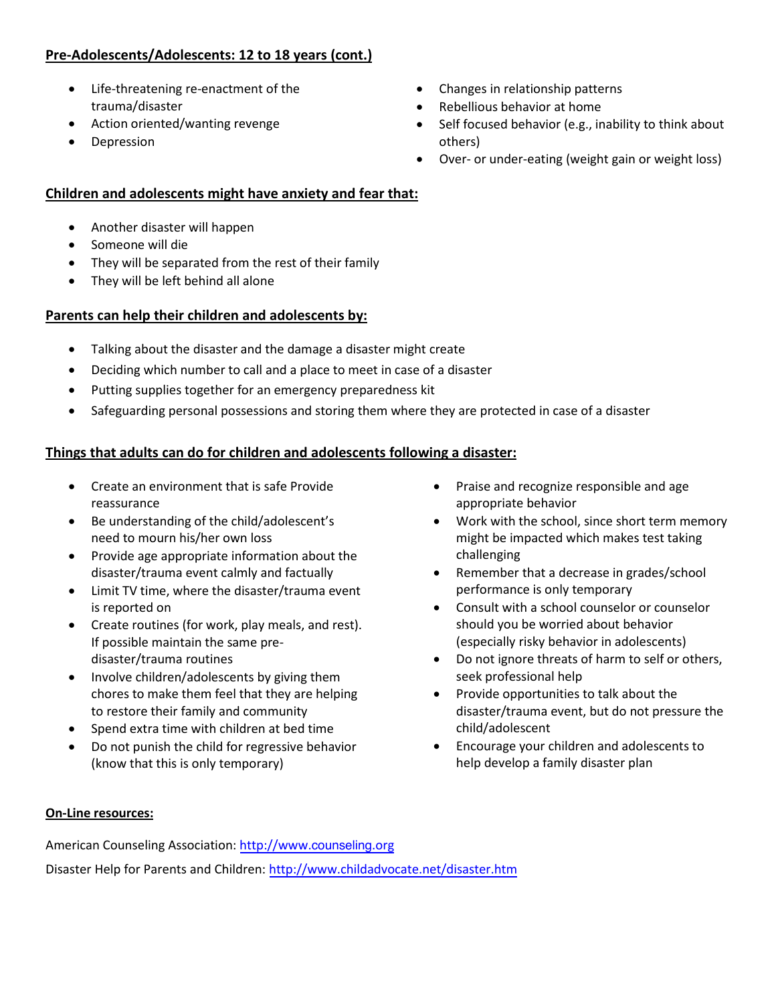# **Pre-Adolescents/Adolescents: 12 to 18 years (cont.)**

- Life-threatening re-enactment of the trauma/disaster
- Action oriented/wanting revenge
- **Depression**
- Changes in relationship patterns
- Rebellious behavior at home
- Self focused behavior (e.g., inability to think about others)
- Over- or under-eating (weight gain or weight loss)

# **Children and adolescents might have anxiety and fear that:**

- Another disaster will happen
- Someone will die
- They will be separated from the rest of their family
- They will be left behind all alone

#### **Parents can help their children and adolescents by:**

- Talking about the disaster and the damage a disaster might create
- Deciding which number to call and a place to meet in case of a disaster
- Putting supplies together for an emergency preparedness kit
- Safeguarding personal possessions and storing them where they are protected in case of a disaster

#### **Things that adults can do for children and adolescents following a disaster:**

- Create an environment that is safe Provide reassurance
- Be understanding of the child/adolescent's need to mourn his/her own loss
- Provide age appropriate information about the disaster/trauma event calmly and factually
- Limit TV time, where the disaster/trauma event is reported on
- Create routines (for work, play meals, and rest). If possible maintain the same predisaster/trauma routines
- Involve children/adolescents by giving them chores to make them feel that they are helping to restore their family and community
- Spend extra time with children at bed time
- Do not punish the child for regressive behavior (know that this is only temporary)
- Praise and recognize responsible and age appropriate behavior
- Work with the school, since short term memory might be impacted which makes test taking challenging
- Remember that a decrease in grades/school performance is only temporary
- Consult with a school counselor or counselor should you be worried about behavior (especially risky behavior in adolescents)
- Do not ignore threats of harm to self or others, seek professional help
- Provide opportunities to talk about the disaster/trauma event, but do not pressure the child/adolescent
- Encourage your children and adolescents to help develop a family disaster plan

#### **On-Line resources:**

American Counseling Association: http://www.counseling.org Disaster Help for Parents and Children:<http://www.childadvocate.net/disaster.htm>